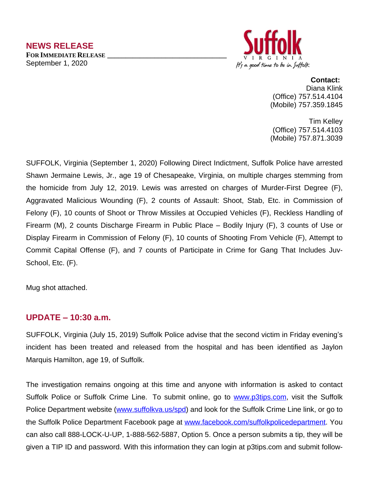

#### **Contact:**

Diana Klink (Office) 757.514.4104 (Mobile) 757.359.1845

Tim Kelley (Office) 757.514.4103 (Mobile) 757.871.3039

SUFFOLK, Virginia (September 1, 2020) Following Direct Indictment, Suffolk Police have arrested Shawn Jermaine Lewis, Jr., age 19 of Chesapeake, Virginia, on multiple charges stemming from the homicide from July 12, 2019. Lewis was arrested on charges of Murder-First Degree (F), Aggravated Malicious Wounding (F), 2 counts of Assault: Shoot, Stab, Etc. in Commission of Felony (F), 10 counts of Shoot or Throw Missiles at Occupied Vehicles (F), Reckless Handling of Firearm (M), 2 counts Discharge Firearm in Public Place – Bodily Injury (F), 3 counts of Use or Display Firearm in Commission of Felony (F), 10 counts of Shooting From Vehicle (F), Attempt to Commit Capital Offense (F), and 7 counts of Participate in Crime for Gang That Includes Juv-School, Etc. (F).

Mug shot attached.

# **UPDATE – 10:30 a.m.**

SUFFOLK, Virginia (July 15, 2019) Suffolk Police advise that the second victim in Friday evening's incident has been treated and released from the hospital and has been identified as Jaylon Marquis Hamilton, age 19, of Suffolk.

The investigation remains ongoing at this time and anyone with information is asked to contact Suffolk Police or Suffolk Crime Line. To submit online, go to [www.p3tips.com](http://www.p3tips.com), visit the Suffolk Police Department website [\(www.suffolkva.us/spd\)](http://www.suffolkva.us/spd) and look for the Suffolk Crime Line link, or go to the Suffolk Police Department Facebook page at [www.facebook.com/suffolkpolicedepartment.](http://www.facebook.com/suffolkpolicedepartment) You can also call 888-LOCK-U-UP, 1-888-562-5887, Option 5. Once a person submits a tip, they will be given a TIP ID and password. With this information they can login at p3tips.com and submit follow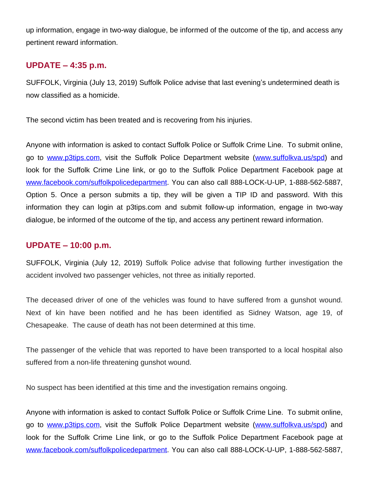up information, engage in two-way dialogue, be informed of the outcome of the tip, and access any pertinent reward information.

# **UPDATE – 4:35 p.m.**

SUFFOLK, Virginia (July 13, 2019) Suffolk Police advise that last evening's undetermined death is now classified as a homicide.

The second victim has been treated and is recovering from his injuries.

Anyone with information is asked to contact Suffolk Police or Suffolk Crime Line. To submit online, go to [www.p3tips.com,](http://www.p3tips.com) visit the Suffolk Police Department website ([www.suffolkva.us/spd\)](http://www.suffolkva.us/spd) and look for the Suffolk Crime Line link, or go to the Suffolk Police Department Facebook page at [www.facebook.com/suffolkpolicedepartment](http://www.facebook.com/suffolkpolicedepartment). You can also call 888-LOCK-U-UP, 1-888-562-5887, Option 5. Once a person submits a tip, they will be given a TIP ID and password. With this information they can login at p3tips.com and submit follow-up information, engage in two-way dialogue, be informed of the outcome of the tip, and access any pertinent reward information.

# **UPDATE – 10:00 p.m.**

SUFFOLK, Virginia (July 12, 2019) Suffolk Police advise that following further investigation the accident involved two passenger vehicles, not three as initially reported.

The deceased driver of one of the vehicles was found to have suffered from a gunshot wound. Next of kin have been notified and he has been identified as Sidney Watson, age 19, of Chesapeake. The cause of death has not been determined at this time.

The passenger of the vehicle that was reported to have been transported to a local hospital also suffered from a non-life threatening gunshot wound.

No suspect has been identified at this time and the investigation remains ongoing.

Anyone with information is asked to contact Suffolk Police or Suffolk Crime Line. To submit online, go to [www.p3tips.com,](http://www.p3tips.com) visit the Suffolk Police Department website ([www.suffolkva.us/spd\)](http://www.suffolkva.us/spd) and look for the Suffolk Crime Line link, or go to the Suffolk Police Department Facebook page at [www.facebook.com/suffolkpolicedepartment](http://www.facebook.com/suffolkpolicedepartment). You can also call 888-LOCK-U-UP, 1-888-562-5887,